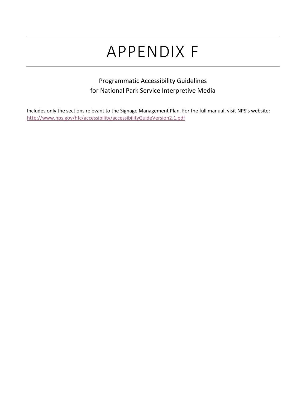# APPENDIX F

## Programmatic Accessibility Guidelines for National Park Service Interpretive Media

Includes only the sections relevant to the Signage Management Plan. For the full manual, visit NPS's website: <http://www.nps.gov/hfc/accessibility/accessibilityGuideVersion2.1.pdf>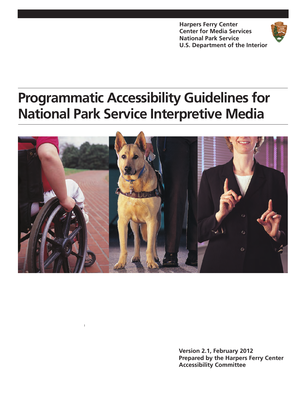**Harpers Ferry Center Center for Media Services National Park Service U.S. Department of the Interior** 



## **Programmatic Accessibility Guidelines for National Park Service Interpretive Media**



Version 2.1, February 2012 **Prepared by the Harpers Ferry Center Accessibility Committee**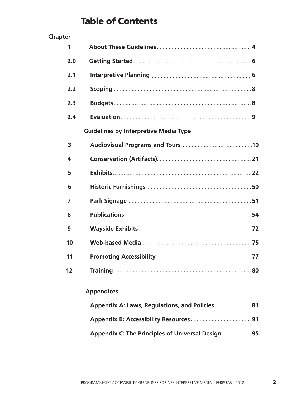## **Table of Contents**

| <b>Chapter</b> |                                              |  |
|----------------|----------------------------------------------|--|
| 1              |                                              |  |
| 2.0            |                                              |  |
| 2.1            |                                              |  |
| 2.2            |                                              |  |
| 2.3            |                                              |  |
| 2.4            |                                              |  |
|                | <b>Guidelines by Interpretive Media Type</b> |  |
| 3              |                                              |  |
| 4              |                                              |  |
| 5              |                                              |  |
| 6              |                                              |  |
| $\overline{7}$ |                                              |  |
| 8              |                                              |  |
| 9              |                                              |  |
| 10             |                                              |  |
| 11             |                                              |  |
| 12             |                                              |  |

## **Appendices**

| Appendix A: Laws, Regulations, and Policies 81 |  |
|------------------------------------------------|--|
|                                                |  |
| Appendix C: The Principles of Universal Design |  |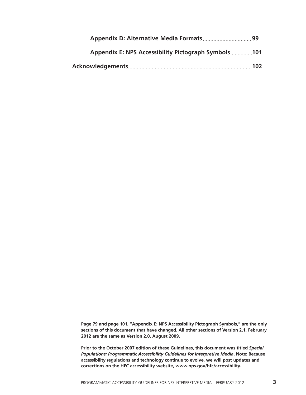| Appendix E: NPS Accessibility Pictograph Symbols101 |          |
|-----------------------------------------------------|----------|
|                                                     | ${.102}$ |

Page 79 and page 101, "Appendix E: NPS Accessibility Pictograph Symbols," are the only sections of this document that have changed. All other sections of Version 2.1, February 2012 are the same as Version 2.0, August 2009.

Prior to the October 2007 edition of these Guidelines, this document was titled Special Populations: Programmatic Accessibility Guidelines for Interpretive Media. Note: Because accessibility regulations and technology continue to evolve, we will post updates and corrections on the HFC accessibility website, www.nps.gov/hfc/accessibility.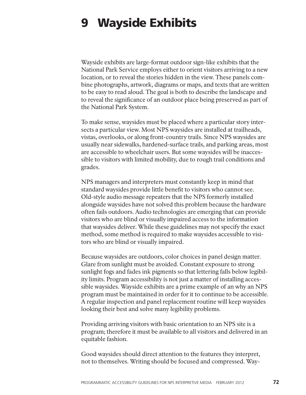#### **Wayside Exhibits** 9

Wayside exhibits are large-format outdoor sign-like exhibits that the National Park Service employs either to orient visitors arriving to a new location, or to reveal the stories hidden in the view. These panels combine photographs, artwork, diagrams or maps, and texts that are written to be easy to read aloud. The goal is both to describe the landscape and to reveal the significance of an outdoor place being preserved as part of the National Park System.

To make sense, way sides must be placed where a particular story intersects a particular view. Most NPS waysides are installed at trailheads, vistas, overlooks, or along front-country trails. Since NPS waysides are usually near sidewalks, hardened-surface trails, and parking areas, most are accessible to wheelchair users. But some way sides will be inaccessible to visitors with limited mobility, due to rough trail conditions and grades.

NPS managers and interpreters must constantly keep in mind that standard waysides provide little benefit to visitors who cannot see. Old-style audio message repeaters that the NPS formerly installed alongside waysides have not solved this problem because the hardware often fails outdoors. Audio technologies are emerging that can provide visitors who are blind or visually impaired access to the information that waysides deliver. While these guidelines may not specify the exact method, some method is required to make waysides accessible to visitors who are blind or visually impaired.

Because way sides are outdoors, color choices in panel design matter. Glare from sunlight must be avoided. Constant exposure to strong sunlight fogs and fades ink pigments so that lettering falls below legibility limits. Program accessibility is not just a matter of installing accessible waysides. Wayside exhibits are a prime example of an why an NPS program must be maintained in order for it to continue to be accessible. A regular inspection and panel replacement routine will keep waysides looking their best and solve many legibility problems.

Providing arriving visitors with basic orientation to an NPS site is a program; therefore it must be available to all visitors and delivered in an equitable fashion.

Good waysides should direct attention to the features they interpret, not to themselves. Writing should be focused and compressed. Way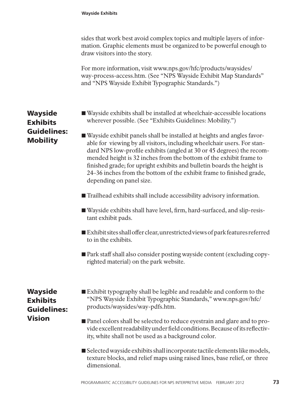sides that work best avoid complex topics and multiple layers of information. Graphic elements must be organized to be powerful enough to draw visitors into the story.

For more information, visit www.nps.gov/hfc/products/waysides/ way-process-access.htm. (See "NPS Wayside Exhibit Map Standards" and "NPS Wayside Exhibit Typographic Standards.")

■ Wayside exhibits shall be installed at wheelchair-accessible locations wherever possible. (See "Exhibits Guidelines: Mobility.")

■ Wayside exhibit panels shall be installed at heights and angles favorable for viewing by all visitors, including wheelchair users. For standard NPS low-profile exhibits (angled at 30 or 45 degrees) the recommended height is 32 inches from the bottom of the exhibit frame to finished grade; for upright exhibits and bullet in boards the height is 24–36 inches from the bottom of the exhibit frame to finished grade, depending on panel size.

- Trailhead exhibits shall include accessibility advisory information.
- Wayside exhibits shall have level, firm, hard-surfaced, and slip-resistant exhibit pads.
- $\blacksquare$  Exhibit sites shall offer clear, unrestricted views of park features referred to in the exhibits.
- Park staff shall also consider posting wayside content (excluding copyrighted material) on the park website.

## **Wayside Exhibits** Guidelines: **Vision**

- Exhibit typography shall be legible and readable and conform to the "NPS Wayside Exhibit Typographic Standards," www.nps.gov/hfc/ products/waysides/way-pdfs.htm.
- Panel colors shall be selected to reduce eyestrain and glare and to provide excellent readability under field conditions. Because of its reflectivity, white shall not be used as a background color.
- Selected wayside exhibits shall incorporate tactile elements like models, texture blocks, and relief maps using raised lines, base relief, or three dimensional.

### **Wayside Exhibits Guidelines: Mobility**